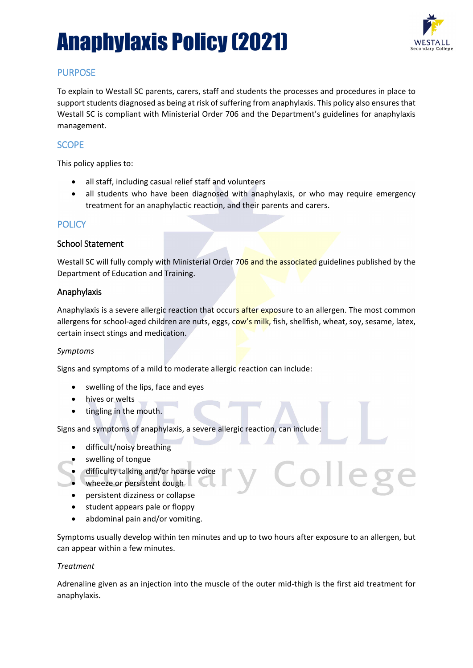

### PURPOSE

To explain to Westall SC parents, carers, staff and students the processes and procedures in place to support students diagnosed as being at risk of suffering from anaphylaxis. This policy also ensures that Westall SC is compliant with Ministerial Order 706 and the Department's guidelines for anaphylaxis management.

### SCOPE

This policy applies to:

- all staff, including casual relief staff and volunteers
- all students who have been diagnosed with anaphylaxis, or who may require emergency treatment for an anaphylactic reaction, and their parents and carers.

### **POLICY**

#### School Statement

Westall SC will fully comply with Ministerial Order 706 and the associated guidelines published by the Department of Education and Training.

#### Anaphylaxis

Anaphylaxis is a severe allergic reaction that occurs after exposure to an allergen. The most common allergens for school-aged children are nuts, eggs, cow's milk, fish, shellfish, wheat, soy, sesame, latex, certain insect stings and medication.

#### *Symptoms*

Signs and symptoms of a mild to moderate allergic reaction can include:

- swelling of the lips, face and eyes
- hives or welts
- tingling in the mouth.

Signs and symptoms of anaphylaxis, a severe allergic reaction, can include:

- difficult/noisy breathing
- swelling of tongue
- difficulty talking and/or hoarse voice
- wheeze or persistent cough
- persistent dizziness or collapse
- student appears pale or floppy
- abdominal pain and/or vomiting.

Symptoms usually develop within ten minutes and up to two hours after exposure to an allergen, but can appear within a few minutes.

plleg

#### *Treatment*

Adrenaline given as an injection into the muscle of the outer mid-thigh is the first aid treatment for anaphylaxis.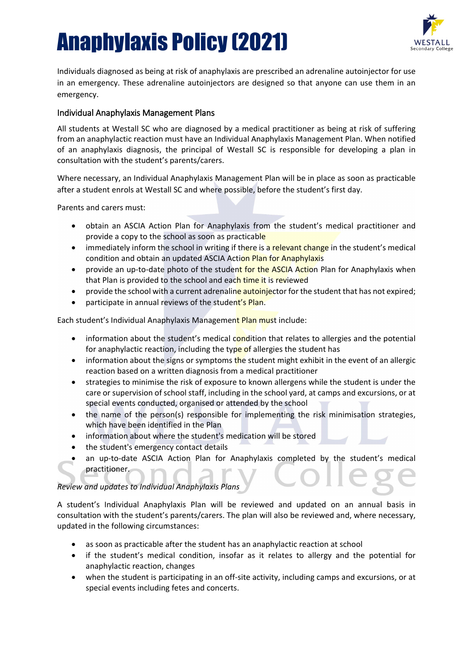

Individuals diagnosed as being at risk of anaphylaxis are prescribed an adrenaline autoinjector for use in an emergency. These adrenaline autoinjectors are designed so that anyone can use them in an emergency.

#### Individual Anaphylaxis Management Plans

All students at Westall SC who are diagnosed by a medical practitioner as being at risk of suffering from an anaphylactic reaction must have an Individual Anaphylaxis Management Plan. When notified of an anaphylaxis diagnosis, the principal of Westall SC is responsible for developing a plan in consultation with the student's parents/carers.

Where necessary, an Individual Anaphylaxis Management Plan will be in place as soon as practicable after a student enrols at Westall SC and where possible, before the student's first day.

Parents and carers must:

- obtain an ASCIA Action Plan for Anaphylaxis from the student's medical practitioner and provide a copy to the school as soon as practicable
- immediately inform the school in writing if there is a relevant change in the student's medical condition and obtain an updated ASCIA Action Plan for Anaphylaxis
- provide an up-to-date photo of the student for the ASCIA Action Plan for Anaphylaxis when that Plan is provided to the school and each time it is reviewed
- provide the school with a current adrenaline autoinjector for the student that has not expired;
- participate in annual reviews of the student's Plan.

Each student's Individual Anaphylaxis Management Plan must include:

- information about the student's medical condition that relates to allergies and the potential for anaphylactic reaction, including the type of allergies the student has
- information about the signs or symptoms the student might exhibit in the event of an allergic reaction based on a written diagnosis from a medical practitioner
- strategies to minimise the risk of exposure to known allergens while the student is under the care or supervision of school staff, including in the school yard, at camps and excursions, or at special events conducted, organised or attended by the school
- the name of the person(s) responsible for implementing the risk minimisation strategies, which have been identified in the Plan
- information about where the student's medication will be stored
- the student's emergency contact details
- an up-to-date ASCIA Action Plan for Anaphylaxis completed by the student's medical practitioner.

#### *Review and updates to Individual Anaphylaxis Plans*

A student's Individual Anaphylaxis Plan will be reviewed and updated on an annual basis in consultation with the student's parents/carers. The plan will also be reviewed and, where necessary, updated in the following circumstances:

- as soon as practicable after the student has an anaphylactic reaction at school
- if the student's medical condition, insofar as it relates to allergy and the potential for anaphylactic reaction, changes
- when the student is participating in an off-site activity, including camps and excursions, or at special events including fetes and concerts.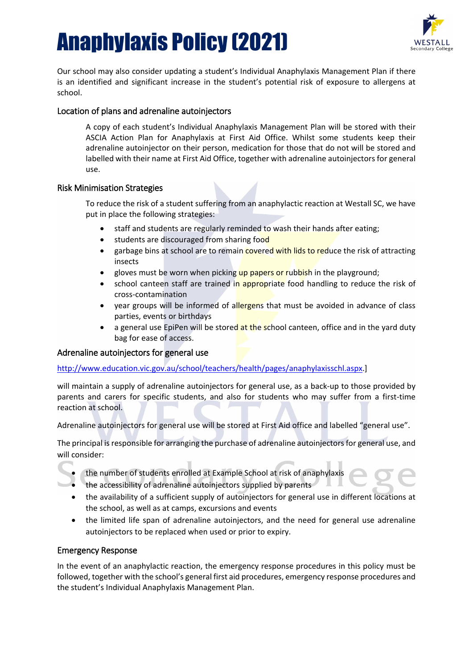

Our school may also consider updating a student's Individual Anaphylaxis Management Plan if there is an identified and significant increase in the student's potential risk of exposure to allergens at school.

#### Location of plans and adrenaline autoinjectors

A copy of each student's Individual Anaphylaxis Management Plan will be stored with their ASCIA Action Plan for Anaphylaxis at First Aid Office. Whilst some students keep their adrenaline autoinjector on their person, medication for those that do not will be stored and labelled with their name at First Aid Office, together with adrenaline autoinjectors for general use.

#### Risk Minimisation Strategies

To reduce the risk of a student suffering from an anaphylactic reaction at Westall SC, we have put in place the following strategies:

- staff and students are regularly reminded to wash their hands after eating;
- students are discouraged from sharing food
- garbage bins at school are to remain covered with lids to reduce the risk of attracting insects
- gloves must be worn when picking up papers or rubbish in the playground;
- school canteen staff are trained in appropriate food handling to reduce the risk of cross-contamination
- year groups will be informed of allergens that must be avoided in advance of class parties, events or birthdays
- a general use EpiPen will be stored at the school canteen, office and in the yard duty bag for ease of access.

#### Adrenaline autoinjectors for general use

#### [http://www.education.vic.gov.au/school/teachers/health/pages/anaphylaxisschl.aspx.](http://www.education.vic.gov.au/school/teachers/health/pages/anaphylaxisschl.aspx)]

will maintain a supply of adrenaline autoinjectors for general use, as a back-up to those provided by parents and carers for specific students, and also for students who may suffer from a first-time reaction at school.

Adrenaline autoinjectors for general use will be stored at First Aid office and labelled "general use".

The principal is responsible for arranging the purchase of adrenaline autoinjectors for general use, and will consider:

- the number of students enrolled at Example School at risk of anaphylaxis
- the accessibility of adrenaline autoinjectors supplied by parents
- the availability of a sufficient supply of autoinjectors for general use in different locations at the school, as well as at camps, excursions and events
- the limited life span of adrenaline autoinjectors, and the need for general use adrenaline autoinjectors to be replaced when used or prior to expiry.

#### Emergency Response

In the event of an anaphylactic reaction, the emergency response procedures in this policy must be followed, together with the school's general first aid procedures, emergency response procedures and the student's Individual Anaphylaxis Management Plan.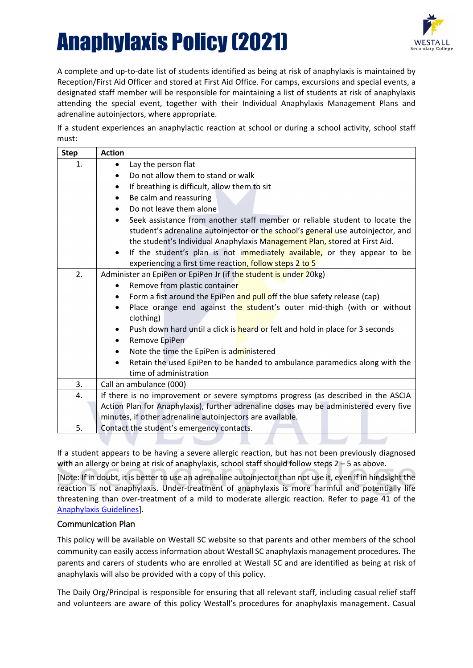

A complete and up-to-date list of students identified as being at risk of anaphylaxis is maintained by Reception/First Aid Officer and stored at First Aid Office. For camps, excursions and special events, a designated staff member will be responsible for maintaining a list of students at risk of anaphylaxis attending the special event, together with their Individual Anaphylaxis Management Plans and adrenaline autoinjectors, where appropriate.

If a student experiences an anaphylactic reaction at school or during a school activity, school staff must:

| <b>Step</b> | <b>Action</b>                                                                            |
|-------------|------------------------------------------------------------------------------------------|
| 1.          | Lay the person flat<br>٠                                                                 |
|             | Do not allow them to stand or walk<br>$\bullet$                                          |
|             | If breathing is difficult, allow them to sit<br>$\bullet$                                |
|             | Be calm and reassuring<br>$\bullet$                                                      |
|             | Do not leave them alone                                                                  |
|             | Seek assistance from another staff member or reliable student to locate the<br>$\bullet$ |
|             | student's adrenaline autoinjector or the school's general use autoinjector, and          |
|             | the student's Individual Anaphylaxis Management Plan, stored at First Aid.               |
|             | If the student's plan is not immediately available, or they appear to be<br>$\bullet$    |
|             | experiencing a first time reaction, follow steps 2 to 5                                  |
| 2.          | Administer an EpiPen or EpiPen Jr (if the student is under 20kg)                         |
|             | Remove from plastic container<br>$\bullet$                                               |
|             | Form a fist around the EpiPen and pull off the blue safety release (cap)<br>$\bullet$    |
|             | Place orange end against the student's outer mid-thigh (with or without<br>$\bullet$     |
|             | clothing)                                                                                |
|             | Push down hard until a click is heard or felt and hold in place for 3 seconds            |
|             | Remove EpiPen<br>$\bullet$                                                               |
|             | Note the time the EpiPen is administered<br>$\bullet$                                    |
|             | Retain the used EpiPen to be handed to ambulance paramedics along with the               |
|             | time of administration                                                                   |
| 3.          | Call an ambulance (000)                                                                  |
| 4.          | If there is no improvement or severe symptoms progress (as described in the ASCIA        |
|             | Action Plan for Anaphylaxis), further adrenaline doses may be administered every five    |
|             | minutes, if other adrenaline autoinjectors are available.                                |
| 5.          | Contact the student's emergency contacts.                                                |
|             |                                                                                          |

If a student appears to be having a severe allergic reaction, but has not been previously diagnosed with an allergy or being at risk of anaphylaxis, school staff should follow steps 2 - 5 as above.

[Note: If in doubt, it is better to use an adrenaline autoinjector than not use it, even if in hindsight the reaction is not anaphylaxis. Under-treatment of anaphylaxis is more harmful and potentially life threatening than over-treatment of a mild to moderate allergic reaction. Refer to page 41 of the [Anaphylaxis](http://www.education.vic.gov.au/school/teachers/health/pages/anaphylaxisschl.aspx) Guidelines].

#### Communication Plan

This policy will be available on Westall SC website so that parents and other members of the school community can easily access information about Westall SC anaphylaxis management procedures. The parents and carers of students who are enrolled at Westall SC and are identified as being at risk of anaphylaxis will also be provided with a copy of this policy.

The Daily Org/Principal is responsible for ensuring that all relevant staff, including casual relief staff and volunteers are aware of this policy Westall's procedures for anaphylaxis management. Casual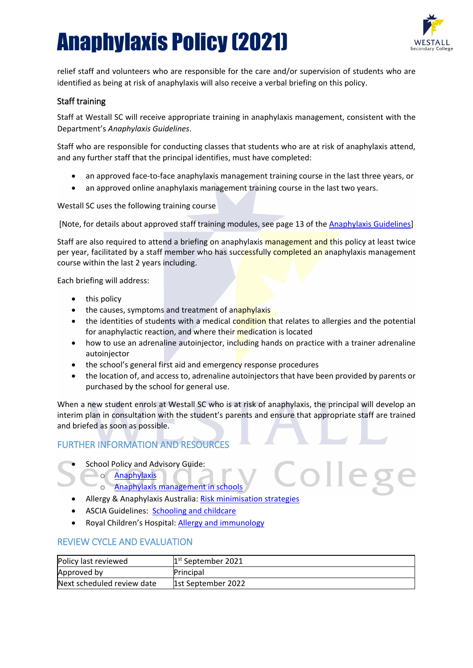

relief staff and volunteers who are responsible for the care and/or supervision of students who are identified as being at risk of anaphylaxis will also receive a verbal briefing on this policy.

#### Staff training

Staff at Westall SC will receive appropriate training in anaphylaxis management, consistent with the Department's *Anaphylaxis Guidelines*.

Staff who are responsible for conducting classes that students who are at risk of anaphylaxis attend, and any further staff that the principal identifies, must have completed:

- an approved face-to-face anaphylaxis management training course in the last three years, or
- an approved online anaphylaxis management training course in the last two years.

Westall SC uses the following training course

[Note, for details about approved staff training modules, see page 13 of the [Anaphylaxis Guidelines\]](http://www.education.vic.gov.au/school/teachers/health/Pages/anaphylaxisschl.aspx)

Staff are also required to attend a briefing on anaphylaxis management and this policy at least twice per year, facilitated by a staff member who has successfully completed an anaphylaxis management course within the last 2 years including.

Each briefing will address:

- this policy
- the causes, symptoms and treatment of anaphylaxis
- the identities of students with a medical condition that relates to allergies and the potential for anaphylactic reaction, and where their medication is located
- how to use an adrenaline autoinjector, including hands on practice with a trainer adrenaline autoiniector
- the school's general first aid and emergency response procedures
- the location of, and access to, adrenaline autoinjectors that have been provided by parents or purchased by the school for general use.

lleg

When a new student enrols at Westall SC who is at risk of anaphylaxis, the principal will develop an interim plan in consultation with the student's parents and ensure that appropriate staff are trained and briefed as soon as possible.

### FURTHER INFORMATION AND RESOURCES

School Policy and Advisory Guide:

#### o [Anaphylaxis](http://www.education.vic.gov.au/school/principals/spag/health/Pages/anaphylaxis.aspx)

- o [Anaphylaxis management in schools](http://www.education.vic.gov.au/school/teachers/health/pages/anaphylaxisschl.aspx)
- Allergy & Anaphylaxis Australia: [Risk minimisation strategies](https://edugate.eduweb.vic.gov.au/edulibrary/Schools/teachers/health/riskminimisation.pdf)
- ASCIA Guidelines: [Schooling and childcare](https://allergyfacts.org.au/allergy-management/schooling-childcare)
- Royal Children's Hospital: [Allergy and immunology](https://www.rch.org.au/allergy/about_us/Allergy_and_Immunology/)

#### REVIEW CYCLE AND EVALUATION

| Policy last reviewed       | $1st$ September 2021 |
|----------------------------|----------------------|
| Approved by                | Principal            |
| Next scheduled review date | 1st September 2022   |